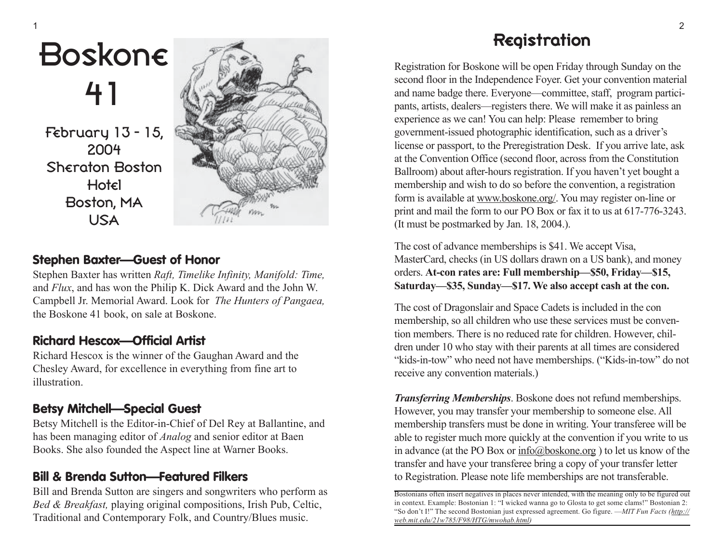### **Boskon€** 41

February 13 - 15, 2004 Sheraton Boston **Hotel** Boston, MA USA



#### **Stephen Baxter—Guest of Honor**

Stephen Baxter has written *Raft, Timelike Infinity, Manifold: Time,* and *Flux*, and has won the Philip K. Dick Award and the John W. Campbell Jr. Memorial Award. Look for *The Hunters of Pangaea,* the Boskone 41 book, on sale at Boskone.

#### **Richard Hescox—Official Artist**

Richard Hescox is the winner of the Gaughan Award and the Chesley Award, for excellence in everything from fine art to illustration.

#### **Betsy Mitchell—Special Guest**

Betsy Mitchell is the Editor-in-Chief of Del Rey at Ballantine, and has been managing editor of *Analog* and senior editor at Baen Books. She also founded the Aspect line at Warner Books.

#### **Bill & Brenda Sutton—Featured Filkers**

Bill and Brenda Sutton are singers and songwriters who perform as *Bed & Breakfast,* playing original compositions, Irish Pub, Celtic, Traditional and Contemporary Folk, and Country/Blues music.

#### Registration

Registration for Boskone will be open Friday through Sunday on the second floor in the Independence Foyer. Get your convention material and name badge there. Everyone—committee, staff, program participants, artists, dealers—registers there. We will make it as painless an experience as we can! You can help: Please remember to bring government-issued photographic identification, such as a driver's license or passport, to the Preregistration Desk. If you arrive late, ask at the Convention Office (second floor, across from the Constitution Ballroom) about after-hours registration. If you haven't yet bought a membership and wish to do so before the convention, a registration form is available at www.boskone.org/. You may register on-line or print and mail the form to our PO Box or fax it to us at 617-776-3243. (It must be postmarked by Jan. 18, 2004.).

The cost of advance memberships is \$41. We accept Visa, MasterCard, checks (in US dollars drawn on a US bank), and money orders. **At-con rates are: Full membership—\$50, Friday—\$15, Saturday—\$35, Sunday—\$17. We also accept cash at the con.**

The cost of Dragonslair and Space Cadets is included in the con membership, so all children who use these services must be convention members. There is no reduced rate for children. However, children under 10 who stay with their parents at all times are considered "kids-in-tow" who need not have memberships. ("Kids-in-tow" do not receive any convention materials.)

*Transferring Memberships*. Boskone does not refund memberships. However, you may transfer your membership to someone else. All membership transfers must be done in writing. Your transferee will be able to register much more quickly at the convention if you write to us in advance (at the PO Box or info@boskone.org ) to let us know of the transfer and have your transferee bring a copy of your transfer letter to Registration. Please note life memberships are not transferable.

Bostonians often insert negatives in places never intended, with the meaning only to be figured out in context. Example: Bostonian 1: "I wicked wanna go to Glosta to get some clams!" Bostonian 2: "So don't I!" The second Bostonian just expressed agreement. Go figure. —*MIT Fun Facts (http:// web.mit.edu/21w785/F98/HTG/mwohab.html)*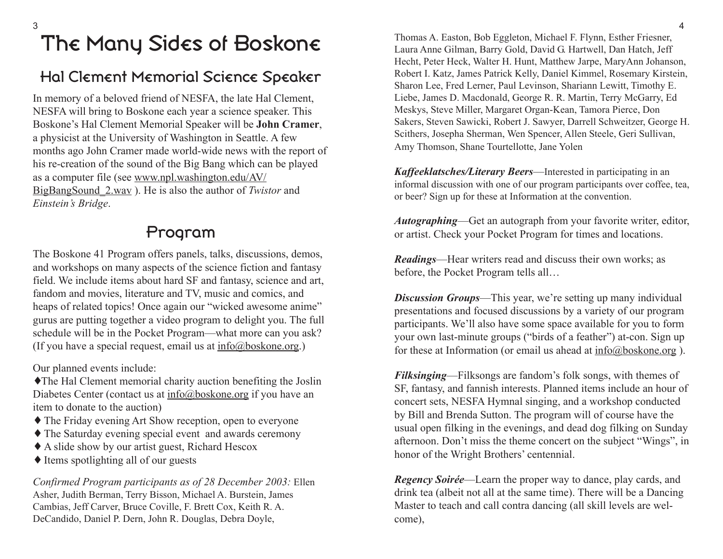#### The Many Sides of Boskone

#### Hal Clement Memorial Science Speaker

In memory of a beloved friend of NESFA, the late Hal Clement, NESFA will bring to Boskone each year a science speaker. This Boskone's Hal Clement Memorial Speaker will be **John Cramer**, a physicist at the University of Washington in Seattle. A few months ago John Cramer made world-wide news with the report of his re-creation of the sound of the Big Bang which can be played as a computer file (see www.npl.washington.edu/AV/ BigBangSound\_2.wav ). He is also the author of *Twistor* and *Einstein's Bridge*.

#### Program

The Boskone 41 Program offers panels, talks, discussions, demos, and workshops on many aspects of the science fiction and fantasy field. We include items about hard SF and fantasy, science and art, fandom and movies, literature and TV, music and comics, and heaps of related topics! Once again our "wicked awesome anime" gurus are putting together a video program to delight you. The full schedule will be in the Pocket Program—what more can you ask? (If you have a special request, email us at  $info@b$ oskone.org.)

Our planned events include:

♦The Hal Clement memorial charity auction benefiting the Joslin Diabetes Center (contact us at info@boskone.org if you have an item to donate to the auction)

- ♦ The Friday evening Art Show reception, open to everyone
- ♦ The Saturday evening special event and awards ceremony
- ♦ A slide show by our artist guest, Richard Hescox
- $\triangle$  Items spotlighting all of our guests

*Confirmed Program participants as of 28 December 2003:* Ellen Asher, Judith Berman, Terry Bisson, Michael A. Burstein, James Cambias, Jeff Carver, Bruce Coville, F. Brett Cox, Keith R. A. DeCandido, Daniel P. Dern, John R. Douglas, Debra Doyle,

Thomas A. Easton, Bob Eggleton, Michael F. Flynn, Esther Friesner, Laura Anne Gilman, Barry Gold, David G. Hartwell, Dan Hatch, Jeff Hecht, Peter Heck, Walter H. Hunt, Matthew Jarpe, MaryAnn Johanson, Robert I. Katz, James Patrick Kelly, Daniel Kimmel, Rosemary Kirstein, Sharon Lee, Fred Lerner, Paul Levinson, Shariann Lewitt, Timothy E. Liebe, James D. Macdonald, George R. R. Martin, Terry McGarry, Ed Meskys, Steve Miller, Margaret Organ-Kean, Tamora Pierce, Don Sakers, Steven Sawicki, Robert J. Sawyer, Darrell Schweitzer, George H. Scithers, Josepha Sherman, Wen Spencer, Allen Steele, Geri Sullivan, Amy Thomson, Shane Tourtellotte, Jane Yolen

*Kaffeeklatsches/Literary Beers* —Interested in participating in an informal discussion with one of our program participants over coffee, tea, or beer? Sign up for these at Information at the convention.

*Autographing*—Get an autograph from your favorite writer, editor, or artist. Check your Pocket Program for times and locations.

*Readings*—Hear writers read and discuss their own works; as before, the Pocket Program tells all…

*Discussion Groups*—This year, we're setting up many individual presentations and focused discussions by a variety of our program participants. We'll also have some space available for you to form your own last-minute groups ("birds of a feather") at-con. Sign up for these at Information (or email us ahead at info@boskone.org).

*Filksinging*—Filksongs are fandom's folk songs, with themes of SF, fantasy, and fannish interests. Planned items include an hour of concert sets, NESFA Hymnal singing, and a workshop conducted by Bill and Brenda Sutton. The program will of course have the usual open filking in the evenings, and dead dog filking on Sunday afternoon. Don't miss the theme concert on the subject "Wings", in honor of the Wright Brothers' centennial.

*Regency Soirée*—Learn the proper way to dance, play cards, and drink tea (albeit not all at the same time). There will be a Dancing Master to teach and call contra dancing (all skill levels are welcome),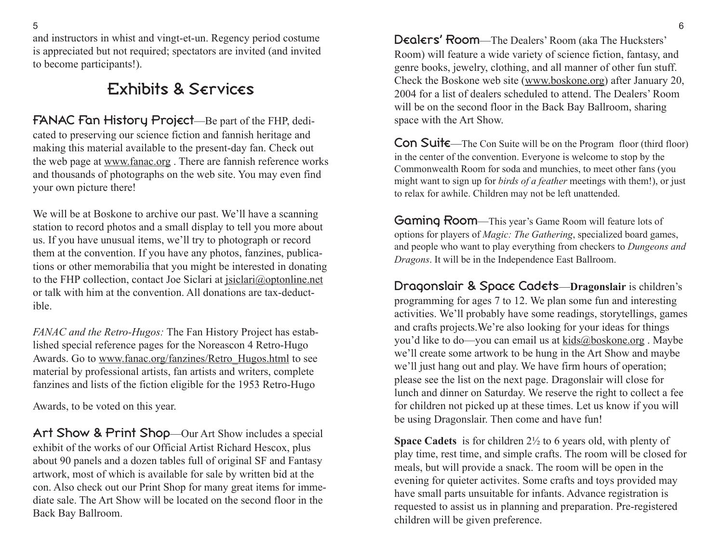and instructors in whist and vingt-et-un. Regency period costume is appreciated but not required; spectators are invited (and invited to become participants!).

#### Exhibits & Services

FANAC Fan History Project—Be part of the FHP, dedicated to preserving our science fiction and fannish heritage and making this material available to the present-day fan. Check out the web page at www.fanac.org . There are fannish reference works and thousands of photographs on the web site. You may even find your own picture there!

We will be at Boskone to archive our past. We'll have a scanning station to record photos and a small display to tell you more about us. If you have unusual items, we'll try to photograph or record them at the convention. If you have any photos, fanzines, publications or other memorabilia that you might be interested in donating to the FHP collection, contact Joe Siclari at jsiclari@optonline.net or talk with him at the convention. All donations are tax-deductible.

*FANAC and the Retro-Hugos:* The Fan History Project has established special reference pages for the Noreascon 4 Retro-Hugo Awards. Go to www.fanac.org/fanzines/Retro\_Hugos.html to see material by professional artists, fan artists and writers, complete fanzines and lists of the fiction eligible for the 1953 Retro-Hugo

Awards, to be voted on this year.

Art Show & Print Shop—Our Art Show includes a special exhibit of the works of our Official Artist Richard Hescox, plus about 90 panels and a dozen tables full of original SF and Fantasy artwork, most of which is available for sale by written bid at the con. Also check out our Print Shop for many great items for immediate sale. The Art Show will be located on the second floor in the Back Bay Ballroom.

Dealers' Room—The Dealers' Room (aka The Hucksters' Room) will feature a wide variety of science fiction, fantasy, and genre books, jewelry, clothing, and all manner of other fun stuff. Check the Boskone web site (www.boskone.org) after January 20, 2004 for a list of dealers scheduled to attend. The Dealers' Room will be on the second floor in the Back Bay Ballroom, sharing space with the Art Show.

Con Suite—The Con Suite will be on the Program floor (third floor) in the center of the convention. Everyone is welcome to stop by the Commonwealth Room for soda and munchies, to meet other fans (you might want to sign up for *birds of a feather* meetings with them!), or just to relax for awhile. Children may not be left unattended.

Gaming Room—This year's Game Room will feature lots of options for players of *Magic: The Gathering*, specialized board games, and people who want to play everything from checkers to *Dungeons and Dragons*. It will be in the Independence East Ballroom.

Dragonslair & Space Cadets —**Dragonslair** is children's programming for ages 7 to 12. We plan some fun and interesting activities. We'll probably have some readings, storytellings, games and crafts projects.We're also looking for your ideas for things you'd like to do—you can email us at kids@boskone.org . Maybe we'll create some artwork to be hung in the Art Show and maybe we'll just hang out and play. We have firm hours of operation; please see the list on the next page. Dragonslair will close for lunch and dinner on Saturday. We reserve the right to collect a fee for children not picked up at these times. Let us know if you will be using Dragonslair. Then come and have fun!

**Space Cadets** is for children 2½ to 6 years old, with plenty of play time, rest time, and simple crafts. The room will be closed for meals, but will provide a snack. The room will be open in the evening for quieter activites. Some crafts and toys provided may have small parts unsuitable for infants. Advance registration is requested to assist us in planning and preparation. Pre-registered children will be given preference.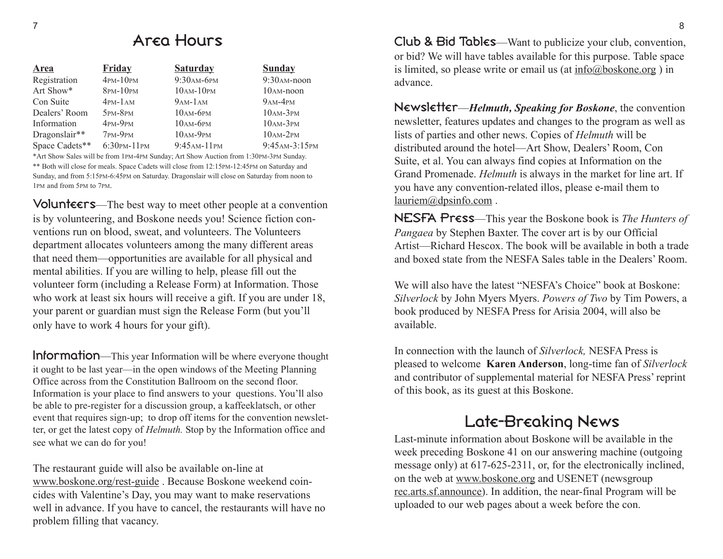#### Area Hours

| Area           | <b>Friday</b>      | <b>Saturday</b> | <b>Sunday</b>   |
|----------------|--------------------|-----------------|-----------------|
| Registration   | $4$ PM- $10$ PM    | 9:30 АМ-6РМ     | $9:30$ AM-noon  |
| Art Show*      | $8$ PM- $10$ PM    | $10AM-10PM$     | $10AM$ -noon    |
| Con Suite      | $4PM-1AM$          | $9AM-1AM$       | $9AM-4PM$       |
| Dealers' Room  | $5PM-8PM$          | $10AM-6PM$      | $10AM-3PM$      |
| Information    | $4PM-9PM$          | $10AM-6PM$      | $10AM-3PM$      |
| Dragonslair**  | $7PM-9PM$          | $10AM-9PM$      | $10AM-2PM$      |
| Space Cadets** | $6:30$ PM- $11$ PM | $9:45AM-11PM$   | 9:45 AM-3:15 PM |

\*Art Show Sales will be from 1PM-4PM Sunday; Art Show Auction from 1:30PM-3PM Sunday. \*\* Both will close for meals. Space Cadets will close from 12:15PM-12:45PM on Saturday and Sunday, and from 5:15PM-6:45PM on Saturday. Dragonslair will close on Saturday from noon to 1PM and from 5PM to 7PM.

Volunteers—The best way to meet other people at a convention is by volunteering, and Boskone needs you! Science fiction conventions run on blood, sweat, and volunteers. The Volunteers department allocates volunteers among the many different areas that need them—opportunities are available for all physical and mental abilities. If you are willing to help, please fill out the volunteer form (including a Release Form) at Information. Those who work at least six hours will receive a gift. If you are under 18, your parent or guardian must sign the Release Form (but you'll only have to work 4 hours for your gift).

**Information**—This year Information will be where everyone thought it ought to be last year—in the open windows of the Meeting Planning Office across from the Constitution Ballroom on the second floor. Information is your place to find answers to your questions. You'll also be able to pre-register for a discussion group, a kaffeeklatsch, or other event that requires sign-up; to drop off items for the convention newsletter, or get the latest copy of *Helmuth.* Stop by the Information office and see what we can do for you!

The restaurant guide will also be available on-line at www.boskone.org/rest-guide . Because Boskone weekend coincides with Valentine's Day, you may want to make reservations well in advance. If you have to cancel, the restaurants will have no problem filling that vacancy.

Club & Bid Tables—Want to publicize your club, convention, or bid? We will have tables available for this purpose. Table space is limited, so please write or email us (at  $info@boshone.org$ ) in advance.

Newsletter —*Helmuth, Speaking for Boskone*, the convention newsletter, features updates and changes to the program as well as lists of parties and other news. Copies of *Helmuth* will be distributed around the hotel—Art Show, Dealers' Room, Con Suite, et al. You can always find copies at Information on the Grand Promenade. *Helmuth* is always in the market for line art. If you have any convention-related illos, please e-mail them to lauriem@dpsinfo.com .

NESFA Press—This year the Boskone book is *The Hunters of Pangaea* by Stephen Baxter. The cover art is by our Official Artist—Richard Hescox. The book will be available in both a trade and boxed state from the NESFA Sales table in the Dealers' Room.

We will also have the latest "NESFA's Choice" book at Boskone: *Silverlock* by John Myers Myers. *Powers of Two* by Tim Powers, a book produced by NESFA Press for Arisia 2004, will also be available.

In connection with the launch of *Silverlock,* NESFA Press is pleased to welcome **Karen Anderson**, long-time fan of *Silverlock* and contributor of supplemental material for NESFA Press' reprint of this book, as its guest at this Boskone.

#### Late-Breaking News

Last-minute information about Boskone will be available in the week preceding Boskone 41 on our answering machine (outgoing message only) at 617-625-2311, or, for the electronically inclined, on the web at www.boskone.org and USENET (newsgroup rec.arts.sf.announce). In addition, the near-final Program will be uploaded to our web pages about a week before the con.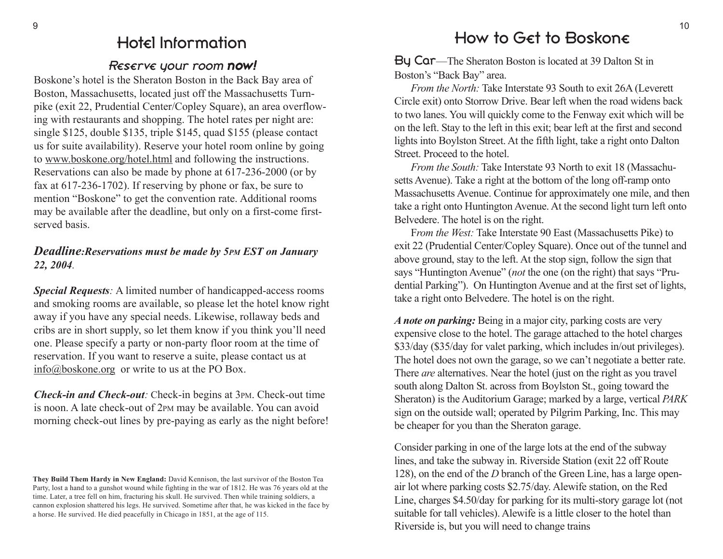#### Hotel Information

#### Reserve your room now!

Boskone's hotel is the Sheraton Boston in the Back Bay area of Boston, Massachusetts, located just off the Massachusetts Turnpike (exit 22, Prudential Center/Copley Square), an area overflowing with restaurants and shopping. The hotel rates per night are: single \$125, double \$135, triple \$145, quad \$155 (please contact us for suite availability). Reserve your hotel room online by going to www.boskone.org/hotel.html and following the instructions. Reservations can also be made by phone at 617-236-2000 (or by fax at 617-236-1702). If reserving by phone or fax, be sure to mention "Boskone" to get the convention rate. Additional rooms may be available after the deadline, but only on a first-come firstserved basis.

#### *Deadline:Reservations must be made by 5PM EST on January 22, 2004.*

*Special Requests:* A limited number of handicapped-access rooms and smoking rooms are available, so please let the hotel know right away if you have any special needs. Likewise, rollaway beds and cribs are in short supply, so let them know if you think you'll need one. Please specify a party or non-party floor room at the time of reservation. If you want to reserve a suite, please contact us at info@boskone.org or write to us at the PO Box.

*Check-in and Check-out:* Check-in begins at 3PM. Check-out time is noon. A late check-out of 2PM may be available. You can avoid morning check-out lines by pre-paying as early as the night before!

#### How to Get to Boskone

By Car—The Sheraton Boston is located at 39 Dalton St in Boston's "Back Bay" area.

*From the North:* Take Interstate 93 South to exit 26A (Leverett Circle exit) onto Storrow Drive. Bear left when the road widens back to two lanes. You will quickly come to the Fenway exit which will be on the left. Stay to the left in this exit; bear left at the first and second lights into Boylston Street. At the fifth light, take a right onto Dalton Street. Proceed to the hotel.

*From the South:* Take Interstate 93 North to exit 18 (Massachusetts Avenue). Take a right at the bottom of the long off-ramp onto Massachusetts Avenue. Continue for approximately one mile, and then take a right onto Huntington Avenue. At the second light turn left onto Belvedere. The hotel is on the right.

F*rom the West:* Take Interstate 90 East (Massachusetts Pike) to exit 22 (Prudential Center/Copley Square). Once out of the tunnel and above ground, stay to the left. At the stop sign, follow the sign that says "Huntington Avenue" (*not* the one (on the right) that says "Prudential Parking"). On Huntington Avenue and at the first set of lights, take a right onto Belvedere. The hotel is on the right.

*A note on parking:* Being in a major city, parking costs are very expensive close to the hotel. The garage attached to the hotel charges \$33/day (\$35/day for valet parking, which includes in/out privileges). The hotel does not own the garage, so we can't negotiate a better rate. There *are* alternatives. Near the hotel (just on the right as you travel south along Dalton St. across from Boylston St., going toward the Sheraton) is the Auditorium Garage; marked by a large, vertical *PARK* sign on the outside wall; operated by Pilgrim Parking, Inc. This may be cheaper for you than the Sheraton garage.

Consider parking in one of the large lots at the end of the subway lines, and take the subway in. Riverside Station (exit 22 off Route 128), on the end of the *D* branch of the Green Line, has a large openair lot where parking costs \$2.75/day. Alewife station, on the Red Line, charges \$4.50/day for parking for its multi-story garage lot (not suitable for tall vehicles). Alewife is a little closer to the hotel than Riverside is, but you will need to change trains

**They Build Them Hardy in New England:** David Kennison, the last survivor of the Boston Tea Party, lost a hand to a gunshot wound while fighting in the war of 1812. He was 76 years old at the time. Later, a tree fell on him, fracturing his skull. He survived. Then while training soldiers, a cannon explosion shattered his legs. He survived. Sometime after that, he was kicked in the face by a horse. He survived. He died peacefully in Chicago in 1851, at the age of 115.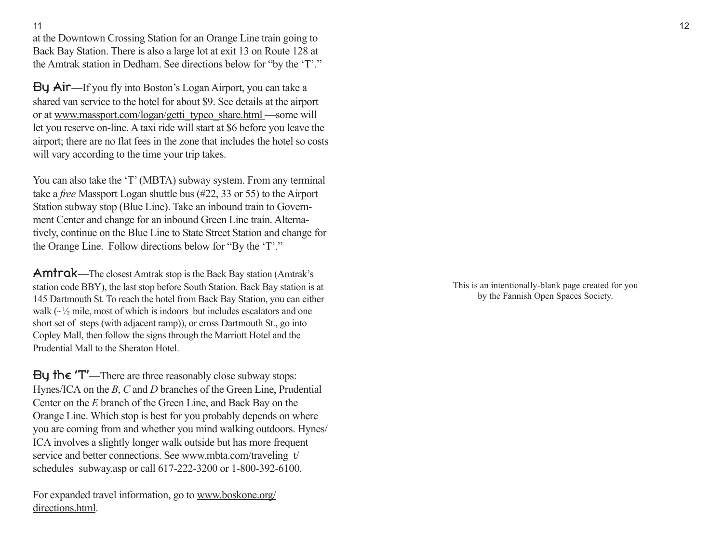11

at the Downtown Crossing Station for an Orange Line train going to Back Bay Station. There is also a large lot at exit 13 on Route 128 at the Amtrak station in Dedham. See directions below for "by the 'T'."

By Air—If you fly into Boston's Logan Airport, you can take a shared van service to the hotel for about \$9. See details at the airport or at www.massport.com/logan/getti\_typeo\_share.html —some will let you reserve on-line. A taxi ride will start at \$6 before you leave the airport; there are no flat fees in the zone that includes the hotel so costs will vary according to the time your trip takes.

You can also take the 'T' (MBTA) subway system. From any terminal take a *free* Massport Logan shuttle bus (#22, 33 or 55) to the Airport Station subway stop (Blue Line). Take an inbound train to Government Center and change for an inbound Green Line train. Alternatively, continue on the Blue Line to State Street Station and change for the Orange Line. Follow directions below for "By the 'T'."

Amtrak—The closest Amtrak stop is the Back Bay station (Amtrak's station code BBY), the last stop before South Station. Back Bay station is at 145 Dartmouth St. To reach the hotel from Back Bay Station, you can either walk  $(\sim \frac{1}{2})$  mile, most of which is indoors but includes escalators and one short set of steps (with adjacent ramp)), or cross Dartmouth St., go into Copley Mall, then follow the signs through the Marriott Hotel and the Prudential Mall to the Sheraton Hotel.

By the  $T'$ —There are three reasonably close subway stops: Hynes/ICA on the *B*, *C* and *D* branches of the Green Line, Prudential Center on the *E* branch of the Green Line, and Back Bay on the Orange Line. Which stop is best for you probably depends on where you are coming from and whether you mind walking outdoors. Hynes/ ICA involves a slightly longer walk outside but has more frequent service and better connections. See www.mbta.com/traveling t/ schedules subway.asp or call 617-222-3200 or 1-800-392-6100.

For expanded travel information, go to www.boskone.org/ directions.html.

This is an intentionally-blank page created for you by the Fannish Open Spaces Society.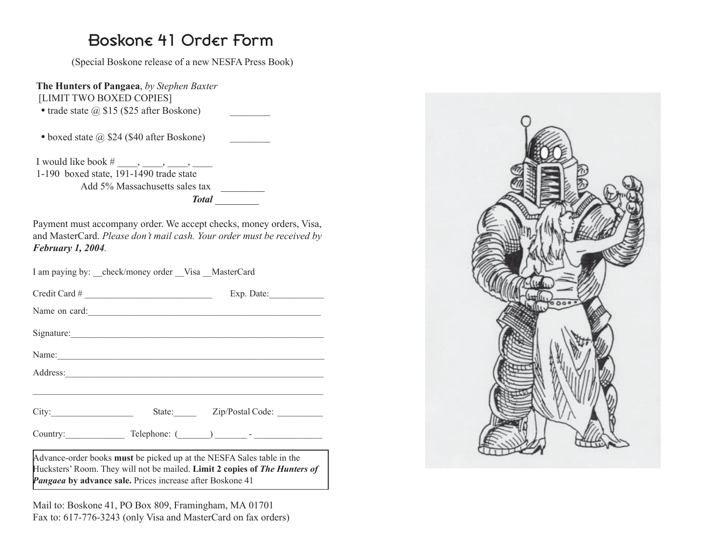#### Boskone 41 Order Form

(Special Boskone release of a new NESFA Press Book)

**The Hunters of Pangaea**, *by Stephen Baxter* [LIMIT TWO BOXED COPIES]

- trade state  $\omega$  \$15 (\$25 after Boskone)
- boxed state  $\omega$  \$24 (\$40 after Boskone)

I would like book  $\#$ ,  $\qquad,$ ,  $\qquad,$ 1-190 boxed state, 191-1490 trade state Add 5% Massachusetts sales tax \_\_\_\_\_\_\_\_ *Total*  \_\_\_\_\_\_\_\_

Payment must accompany order. We accept checks, money orders, Visa, and MasterCard. *Please don't mail cash. Your order must be received by February 1, 2004.*

|  |  | I am paying by: | check/money order |  | Visa MasterCard |
|--|--|-----------------|-------------------|--|-----------------|
|--|--|-----------------|-------------------|--|-----------------|

|       | $Credit$ Card # | Exp. Date:                                                                                                                                          |
|-------|-----------------|-----------------------------------------------------------------------------------------------------------------------------------------------------|
|       |                 | Name on card:                                                                                                                                       |
|       | Signature:      |                                                                                                                                                     |
|       |                 | Name:                                                                                                                                               |
|       |                 |                                                                                                                                                     |
|       |                 |                                                                                                                                                     |
| City: |                 | State: Zip/Postal Code:                                                                                                                             |
|       |                 |                                                                                                                                                     |
|       |                 | Advance-order books must be picked up at the NESFA Sales table in the<br>Hucksters' Room. They will not be mailed. Limit 2 copies of The Hunters of |

*Pangaea* by advance sale. Prices increase after Boskone 41

Mail to: Boskone 41, PO Box 809, Framingham, MA 01701 Fax to: 617-776-3243 (only Visa and MasterCard on fax orders)